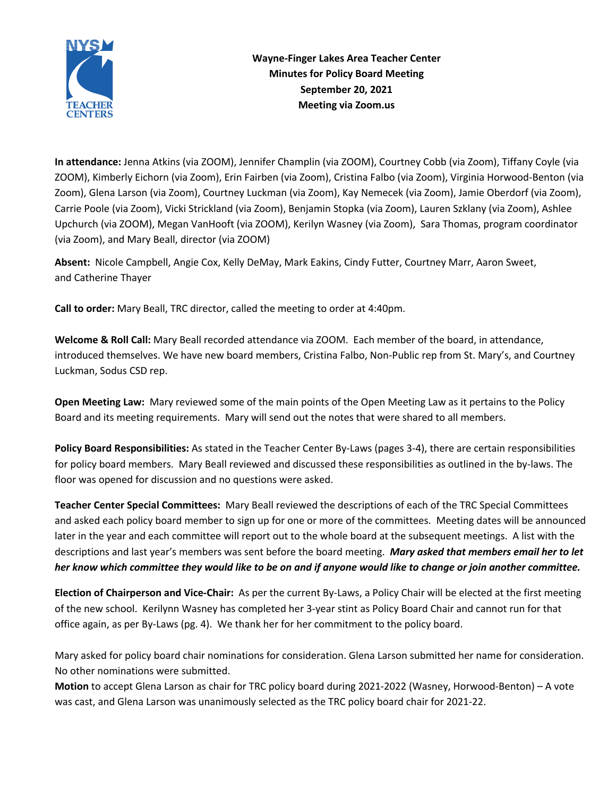

**Wayne-Finger Lakes Area Teacher Center Minutes for Policy Board Meeting September 20, 2021 Meeting via Zoom.us**

**In attendance:** Jenna Atkins (via ZOOM), Jennifer Champlin (via ZOOM), Courtney Cobb (via Zoom), Tiffany Coyle (via ZOOM), Kimberly Eichorn (via Zoom), Erin Fairben (via Zoom), Cristina Falbo (via Zoom), Virginia Horwood-Benton (via Zoom), Glena Larson (via Zoom), Courtney Luckman (via Zoom), Kay Nemecek (via Zoom), Jamie Oberdorf (via Zoom), Carrie Poole (via Zoom), Vicki Strickland (via Zoom), Benjamin Stopka (via Zoom), Lauren Szklany (via Zoom), Ashlee Upchurch (via ZOOM), Megan VanHooft (via ZOOM), Kerilyn Wasney (via Zoom), Sara Thomas, program coordinator (via Zoom), and Mary Beall, director (via ZOOM)

**Absent:** Nicole Campbell, Angie Cox, Kelly DeMay, Mark Eakins, Cindy Futter, Courtney Marr, Aaron Sweet, and Catherine Thayer

**Call to order:** Mary Beall, TRC director, called the meeting to order at 4:40pm.

**Welcome & Roll Call:** Mary Beall recorded attendance via ZOOM. Each member of the board, in attendance, introduced themselves. We have new board members, Cristina Falbo, Non-Public rep from St. Mary's, and Courtney Luckman, Sodus CSD rep.

**Open Meeting Law:** Mary reviewed some of the main points of the Open Meeting Law as it pertains to the Policy Board and its meeting requirements. Mary will send out the notes that were shared to all members.

**Policy Board Responsibilities:** As stated in the Teacher Center By-Laws (pages 3-4), there are certain responsibilities for policy board members. Mary Beall reviewed and discussed these responsibilities as outlined in the by-laws. The floor was opened for discussion and no questions were asked.

**Teacher Center Special Committees:** Mary Beall reviewed the descriptions of each of the TRC Special Committees and asked each policy board member to sign up for one or more of the committees. Meeting dates will be announced later in the year and each committee will report out to the whole board at the subsequent meetings. A list with the descriptions and last year's members was sent before the board meeting. *Mary asked that members email her to let her know which committee they would like to be on and if anyone would like to change or join another committee.*

**Election of Chairperson and Vice-Chair:** As per the current By-Laws, a Policy Chair will be elected at the first meeting of the new school. Kerilynn Wasney has completed her 3-year stint as Policy Board Chair and cannot run for that office again, as per By-Laws (pg. 4). We thank her for her commitment to the policy board.

Mary asked for policy board chair nominations for consideration. Glena Larson submitted her name for consideration. No other nominations were submitted.

**Motion** to accept Glena Larson as chair for TRC policy board during 2021-2022 (Wasney, Horwood-Benton) – A vote was cast, and Glena Larson was unanimously selected as the TRC policy board chair for 2021-22.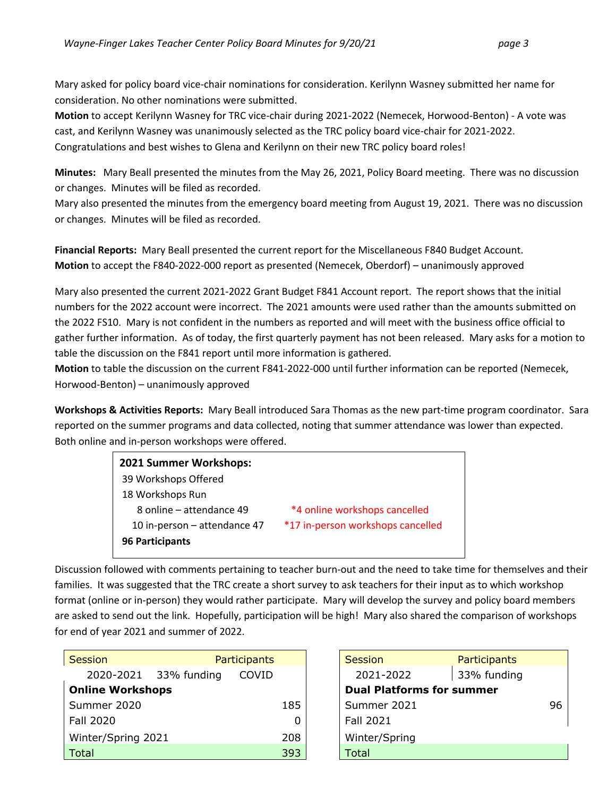Mary asked for policy board vice-chair nominations for consideration. Kerilynn Wasney submitted her name for consideration. No other nominations were submitted.

**Motion** to accept Kerilynn Wasney for TRC vice-chair during 2021-2022 (Nemecek, Horwood-Benton) - A vote was cast, and Kerilynn Wasney was unanimously selected as the TRC policy board vice-chair for 2021-2022. Congratulations and best wishes to Glena and Kerilynn on their new TRC policy board roles!

**Minutes:** Mary Beall presented the minutes from the May 26, 2021, Policy Board meeting. There was no discussion or changes. Minutes will be filed as recorded.

Mary also presented the minutes from the emergency board meeting from August 19, 2021. There was no discussion or changes. Minutes will be filed as recorded.

**Financial Reports:** Mary Beall presented the current report for the Miscellaneous F840 Budget Account. **Motion** to accept the F840-2022-000 report as presented (Nemecek, Oberdorf) – unanimously approved

Mary also presented the current 2021-2022 Grant Budget F841 Account report. The report shows that the initial numbers for the 2022 account were incorrect. The 2021 amounts were used rather than the amounts submitted on the 2022 FS10. Mary is not confident in the numbers as reported and will meet with the business office official to gather further information. As of today, the first quarterly payment has not been released. Mary asks for a motion to table the discussion on the F841 report until more information is gathered.

**Motion** to table the discussion on the current F841-2022-000 until further information can be reported (Nemecek, Horwood-Benton) – unanimously approved

**Workshops & Activities Reports:** Mary Beall introduced Sara Thomas as the new part-time program coordinator. Sara reported on the summer programs and data collected, noting that summer attendance was lower than expected. Both online and in-person workshops were offered.

| 2021 Summer Workshops:       |                                   |
|------------------------------|-----------------------------------|
| 39 Workshops Offered         |                                   |
| 18 Workshops Run             |                                   |
| 8 online – attendance 49     | *4 online workshops cancelled     |
| 10 in-person - attendance 47 | *17 in-person workshops cancelled |
| <b>96 Participants</b>       |                                   |

Discussion followed with comments pertaining to teacher burn-out and the need to take time for themselves and their families. It was suggested that the TRC create a short survey to ask teachers for their input as to which workshop format (online or in-person) they would rather participate. Mary will develop the survey and policy board members are asked to send out the link. Hopefully, participation will be high! Mary also shared the comparison of workshops for end of year 2021 and summer of 2022.

| Session                 | <b>Participants</b> |       |   | <b>Session</b>                   | <b>Participants</b> |    |
|-------------------------|---------------------|-------|---|----------------------------------|---------------------|----|
| 2020-2021               | 33% funding         | COVID |   | 2021-2022                        | 33% funding         |    |
| <b>Online Workshops</b> |                     |       |   | <b>Dual Platforms for summer</b> |                     |    |
| Summer 2020             |                     | 185   |   | Summer 2021                      |                     | 96 |
| Fall 2020               |                     |       | 0 | Fall 2021                        |                     |    |
| Winter/Spring 2021      |                     | 208   |   | Winter/Spring                    |                     |    |
| Total                   |                     | 393   |   | Total                            |                     |    |

| Session                          | Participants |  |  |  |  |  |
|----------------------------------|--------------|--|--|--|--|--|
| 2021-2022                        | 33% funding  |  |  |  |  |  |
| <b>Dual Platforms for summer</b> |              |  |  |  |  |  |
| Summer 2021                      |              |  |  |  |  |  |
| <b>Fall 2021</b>                 |              |  |  |  |  |  |
| Winter/Spring                    |              |  |  |  |  |  |
| Г∩tal                            |              |  |  |  |  |  |